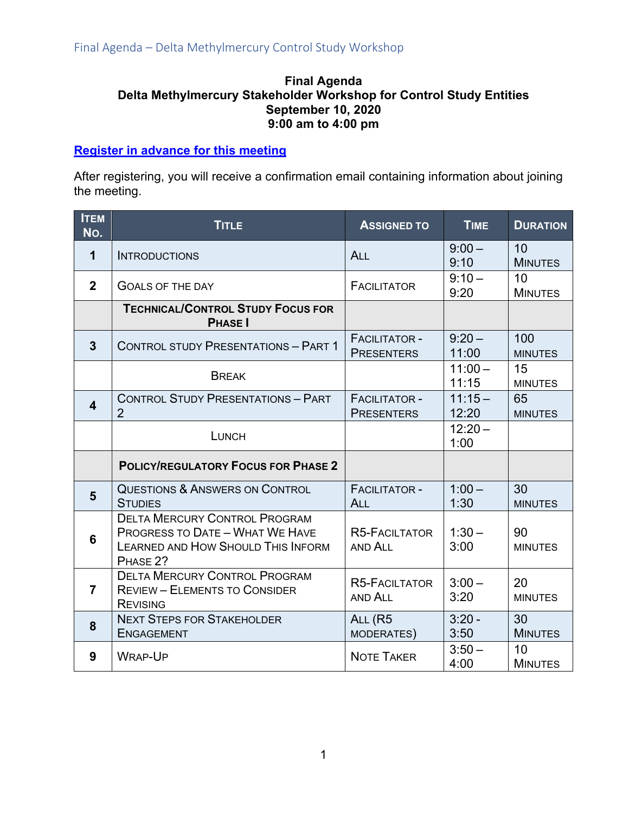#### **Final Agenda Delta Methylmercury Stakeholder Workshop for Control Study Entities September 10, 2020 9:00 am to 4:00 pm**

#### **[Register in advance for this meeting](https://us02web.zoom.us/meeting/register/tZIufumvrz0sHNVemzmrWVJQwUmfv_hJXpgl)**

After registering, you will receive a confirmation email containing information about joining the meeting.

| <b>ITEM</b><br>No. | <b>TITLE</b>                                                                                                                     | <b>ASSIGNED TO</b>                        | <b>TIME</b>        | <b>DURATION</b>       |
|--------------------|----------------------------------------------------------------------------------------------------------------------------------|-------------------------------------------|--------------------|-----------------------|
| 1                  | <b>INTRODUCTIONS</b>                                                                                                             | <b>ALL</b>                                | $9:00 -$<br>9:10   | 10<br><b>MINUTES</b>  |
| $\mathbf{2}$       | <b>GOALS OF THE DAY</b>                                                                                                          | <b>FACILITATOR</b>                        | $9:10 -$<br>9:20   | 10<br><b>MINUTES</b>  |
|                    | <b>TECHNICAL/CONTROL STUDY FOCUS FOR</b><br><b>PHASE</b>                                                                         |                                           |                    |                       |
| $\overline{3}$     | <b>CONTROL STUDY PRESENTATIONS - PART 1</b>                                                                                      | <b>FACILITATOR -</b><br><b>PRESENTERS</b> | $9:20 -$<br>11:00  | 100<br><b>MINUTES</b> |
|                    | <b>BREAK</b>                                                                                                                     |                                           | $11:00 -$<br>11:15 | 15<br><b>MINUTES</b>  |
| 4                  | <b>CONTROL STUDY PRESENTATIONS - PART</b><br>$\overline{2}$                                                                      | <b>FACILITATOR -</b><br><b>PRESENTERS</b> | $11:15-$<br>12:20  | 65<br><b>MINUTES</b>  |
|                    | <b>LUNCH</b>                                                                                                                     |                                           | $12:20 -$<br>1:00  |                       |
|                    | <b>POLICY/REGULATORY FOCUS FOR PHASE 2</b>                                                                                       |                                           |                    |                       |
| 5                  | <b>QUESTIONS &amp; ANSWERS ON CONTROL</b><br><b>STUDIES</b>                                                                      | <b>FACILITATOR -</b><br><b>ALL</b>        | $1:00 -$<br>1:30   | 30<br><b>MINUTES</b>  |
| 6                  | <b>DELTA MERCURY CONTROL PROGRAM</b><br><b>PROGRESS TO DATE - WHAT WE HAVE</b><br>LEARNED AND HOW SHOULD THIS INFORM<br>PHASE 2? | <b>R5-FACILTATOR</b><br>AND ALL           | $1:30-$<br>3:00    | 90<br><b>MINUTES</b>  |
| $\overline{7}$     | <b>DELTA MERCURY CONTROL PROGRAM</b><br><b>REVIEW - ELEMENTS TO CONSIDER</b><br><b>REVISING</b>                                  | <b>R5-FACILTATOR</b><br>AND ALL           | $3:00 -$<br>3:20   | 20<br><b>MINUTES</b>  |
| 8                  | <b>NEXT STEPS FOR STAKEHOLDER</b><br><b>ENGAGEMENT</b>                                                                           | ALL (R5<br>MODERATES)                     | $3:20 -$<br>3:50   | 30<br><b>MINUTES</b>  |
| 9                  | <b>WRAP-UP</b>                                                                                                                   | <b>NOTE TAKER</b>                         | $3:50 -$<br>4:00   | 10<br><b>MINUTES</b>  |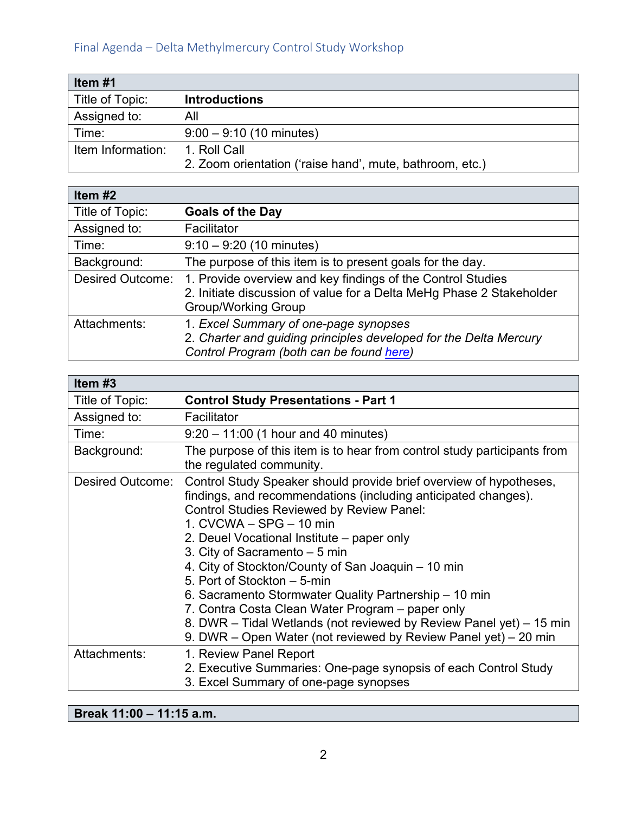| Item #1           |                                                          |
|-------------------|----------------------------------------------------------|
| Title of Topic:   | <b>Introductions</b>                                     |
| Assigned to:      | All                                                      |
| Time:             | $9:00 - 9:10$ (10 minutes)                               |
| Item Information: | 1. Roll Call                                             |
|                   | 2. Zoom orientation ('raise hand', mute, bathroom, etc.) |

| Item $#2$               |                                                                                                                                                                   |
|-------------------------|-------------------------------------------------------------------------------------------------------------------------------------------------------------------|
| Title of Topic:         | <b>Goals of the Day</b>                                                                                                                                           |
| Assigned to:            | Facilitator                                                                                                                                                       |
| Time:                   | $9:10 - 9:20$ (10 minutes)                                                                                                                                        |
| Background:             | The purpose of this item is to present goals for the day.                                                                                                         |
| <b>Desired Outcome:</b> | 1. Provide overview and key findings of the Control Studies<br>2. Initiate discussion of value for a Delta MeHg Phase 2 Stakeholder<br><b>Group/Working Group</b> |
| Attachments:            | 1. Excel Summary of one-page synopses<br>2. Charter and guiding principles developed for the Delta Mercury<br>Control Program (both can be found here)            |

| Item #3          |                                                                                                                                                                                                                                                                                                                                                                                                                                                                                                                                                                                                                                                |
|------------------|------------------------------------------------------------------------------------------------------------------------------------------------------------------------------------------------------------------------------------------------------------------------------------------------------------------------------------------------------------------------------------------------------------------------------------------------------------------------------------------------------------------------------------------------------------------------------------------------------------------------------------------------|
| Title of Topic:  | <b>Control Study Presentations - Part 1</b>                                                                                                                                                                                                                                                                                                                                                                                                                                                                                                                                                                                                    |
| Assigned to:     | Facilitator                                                                                                                                                                                                                                                                                                                                                                                                                                                                                                                                                                                                                                    |
| Time:            | $9:20 - 11:00$ (1 hour and 40 minutes)                                                                                                                                                                                                                                                                                                                                                                                                                                                                                                                                                                                                         |
| Background:      | The purpose of this item is to hear from control study participants from<br>the regulated community.                                                                                                                                                                                                                                                                                                                                                                                                                                                                                                                                           |
| Desired Outcome: | Control Study Speaker should provide brief overview of hypotheses,<br>findings, and recommendations (including anticipated changes).<br><b>Control Studies Reviewed by Review Panel:</b><br>1. CVCWA - SPG - 10 min<br>2. Deuel Vocational Institute – paper only<br>3. City of Sacramento - 5 min<br>4. City of Stockton/County of San Joaquin - 10 min<br>5. Port of Stockton - 5-min<br>6. Sacramento Stormwater Quality Partnership – 10 min<br>7. Contra Costa Clean Water Program – paper only<br>8. DWR - Tidal Wetlands (not reviewed by Review Panel yet) - 15 min<br>9. DWR – Open Water (not reviewed by Review Panel yet) – 20 min |
| Attachments:     | 1. Review Panel Report<br>2. Executive Summaries: One-page synopsis of each Control Study<br>3. Excel Summary of one-page synopses                                                                                                                                                                                                                                                                                                                                                                                                                                                                                                             |

**Break 11:00 – 11:15 a.m.**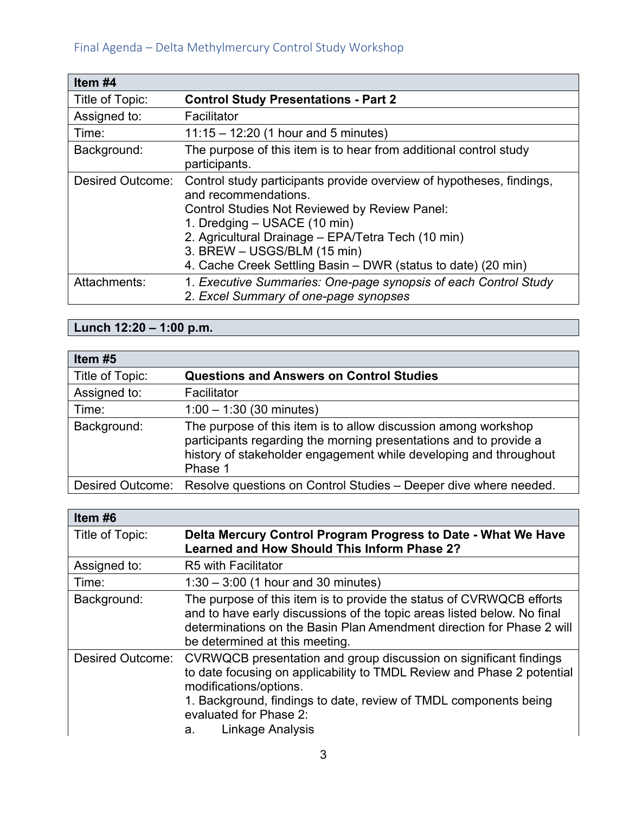| Item #4          |                                                                                                                                                                                                                                                                                                                                     |
|------------------|-------------------------------------------------------------------------------------------------------------------------------------------------------------------------------------------------------------------------------------------------------------------------------------------------------------------------------------|
| Title of Topic:  | <b>Control Study Presentations - Part 2</b>                                                                                                                                                                                                                                                                                         |
| Assigned to:     | Facilitator                                                                                                                                                                                                                                                                                                                         |
| Time:            | $11:15 - 12:20$ (1 hour and 5 minutes)                                                                                                                                                                                                                                                                                              |
| Background:      | The purpose of this item is to hear from additional control study<br>participants.                                                                                                                                                                                                                                                  |
| Desired Outcome: | Control study participants provide overview of hypotheses, findings,<br>and recommendations.<br>Control Studies Not Reviewed by Review Panel:<br>1. Dredging – USACE (10 min)<br>2. Agricultural Drainage - EPA/Tetra Tech (10 min)<br>3. BREW - USGS/BLM (15 min)<br>4. Cache Creek Settling Basin – DWR (status to date) (20 min) |
| Attachments:     | 1. Executive Summaries: One-page synopsis of each Control Study<br>2. Excel Summary of one-page synopses                                                                                                                                                                                                                            |

# **Lunch 12:20 – 1:00 p.m.**

| Item #5         |                                                                                                                                                                                                                     |
|-----------------|---------------------------------------------------------------------------------------------------------------------------------------------------------------------------------------------------------------------|
| Title of Topic: | <b>Questions and Answers on Control Studies</b>                                                                                                                                                                     |
| Assigned to:    | Facilitator                                                                                                                                                                                                         |
| Time:           | $1:00 - 1:30$ (30 minutes)                                                                                                                                                                                          |
| Background:     | The purpose of this item is to allow discussion among workshop<br>participants regarding the morning presentations and to provide a<br>history of stakeholder engagement while developing and throughout<br>Phase 1 |
|                 | Desired Outcome: Resolve questions on Control Studies - Deeper dive where needed.                                                                                                                                   |

| Item #6                 |                                                                                                                                                                                                                                                                                               |
|-------------------------|-----------------------------------------------------------------------------------------------------------------------------------------------------------------------------------------------------------------------------------------------------------------------------------------------|
| Title of Topic:         | Delta Mercury Control Program Progress to Date - What We Have<br><b>Learned and How Should This Inform Phase 2?</b>                                                                                                                                                                           |
| Assigned to:            | R5 with Facilitator                                                                                                                                                                                                                                                                           |
| Time:                   | $1:30 - 3:00$ (1 hour and 30 minutes)                                                                                                                                                                                                                                                         |
| Background:             | The purpose of this item is to provide the status of CVRWQCB efforts<br>and to have early discussions of the topic areas listed below. No final<br>determinations on the Basin Plan Amendment direction for Phase 2 will<br>be determined at this meeting.                                    |
| <b>Desired Outcome:</b> | CVRWQCB presentation and group discussion on significant findings<br>to date focusing on applicability to TMDL Review and Phase 2 potential<br>modifications/options.<br>1. Background, findings to date, review of TMDL components being<br>evaluated for Phase 2:<br>Linkage Analysis<br>а. |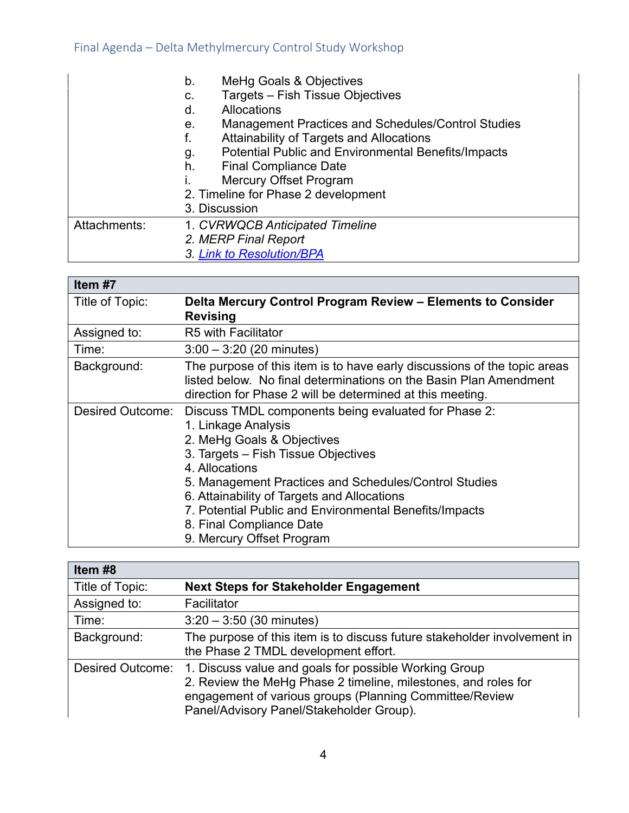|              | MeHg Goals & Objectives<br>b.                                    |
|--------------|------------------------------------------------------------------|
|              | Targets - Fish Tissue Objectives<br>C.                           |
|              | <b>Allocations</b><br>d.                                         |
|              | Management Practices and Schedules/Control Studies<br>е.         |
|              | Attainability of Targets and Allocations<br>f.                   |
|              | <b>Potential Public and Environmental Benefits/Impacts</b><br>g. |
|              | h.<br><b>Final Compliance Date</b>                               |
|              | <b>Mercury Offset Program</b>                                    |
|              | 2. Timeline for Phase 2 development                              |
|              | 3. Discussion                                                    |
| Attachments: | 1. CVRWQCB Anticipated Timeline                                  |
|              | 2. MERP Final Report                                             |
|              | 3. Link to Resolution/BPA                                        |

| Item #7          |                                                                                                                                                                                                                                                                                                                                                                                               |
|------------------|-----------------------------------------------------------------------------------------------------------------------------------------------------------------------------------------------------------------------------------------------------------------------------------------------------------------------------------------------------------------------------------------------|
| Title of Topic:  | Delta Mercury Control Program Review - Elements to Consider<br><b>Revising</b>                                                                                                                                                                                                                                                                                                                |
| Assigned to:     | <b>R5 with Facilitator</b>                                                                                                                                                                                                                                                                                                                                                                    |
| Time:            | $3:00 - 3:20$ (20 minutes)                                                                                                                                                                                                                                                                                                                                                                    |
| Background:      | The purpose of this item is to have early discussions of the topic areas<br>listed below. No final determinations on the Basin Plan Amendment<br>direction for Phase 2 will be determined at this meeting.                                                                                                                                                                                    |
| Desired Outcome: | Discuss TMDL components being evaluated for Phase 2:<br>1. Linkage Analysis<br>2. MeHg Goals & Objectives<br>3. Targets - Fish Tissue Objectives<br>4. Allocations<br>5. Management Practices and Schedules/Control Studies<br>6. Attainability of Targets and Allocations<br>7. Potential Public and Environmental Benefits/Impacts<br>8. Final Compliance Date<br>9. Mercury Offset Program |

| Item #8                 |                                                                                                                                                                                                                                |
|-------------------------|--------------------------------------------------------------------------------------------------------------------------------------------------------------------------------------------------------------------------------|
| Title of Topic:         | <b>Next Steps for Stakeholder Engagement</b>                                                                                                                                                                                   |
| Assigned to:            | Facilitator                                                                                                                                                                                                                    |
| Time:                   | $3:20 - 3:50$ (30 minutes)                                                                                                                                                                                                     |
| Background:             | The purpose of this item is to discuss future stakeholder involvement in<br>the Phase 2 TMDL development effort.                                                                                                               |
| <b>Desired Outcome:</b> | 1. Discuss value and goals for possible Working Group<br>2. Review the MeHg Phase 2 timeline, milestones, and roles for<br>engagement of various groups (Planning Committee/Review<br>Panel/Advisory Panel/Stakeholder Group). |